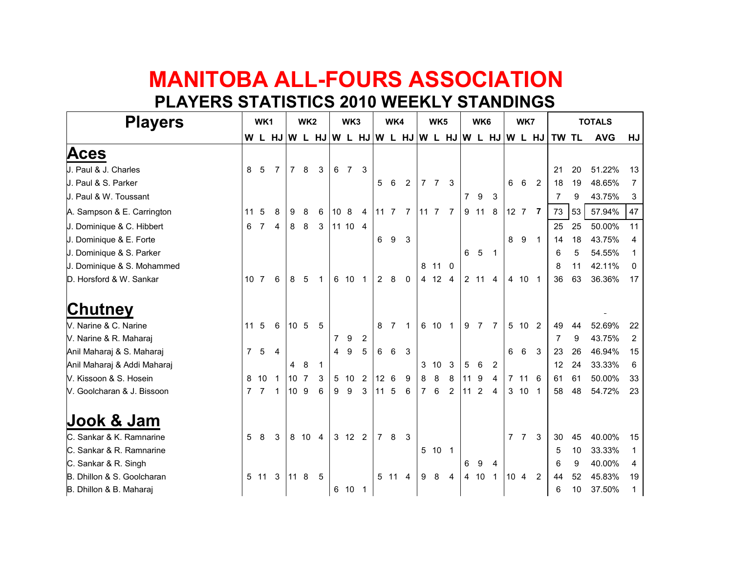## **MANITOBA ALL-FOURS ASSOCIATIONPLAYERS STATISTICS 2010 WEEKLY STANDINGS**

| <b>Players</b>              | WK1             |                 |                                                  | WK <sub>2</sub> |      |                | WK3             |         |                | WK4              |                |                |                | WK <sub>5</sub> |                |                | WK6            |                | WK7             |                |                | <b>TOTALS</b> |    |            |                |
|-----------------------------|-----------------|-----------------|--------------------------------------------------|-----------------|------|----------------|-----------------|---------|----------------|------------------|----------------|----------------|----------------|-----------------|----------------|----------------|----------------|----------------|-----------------|----------------|----------------|---------------|----|------------|----------------|
|                             |                 |                 | W L HJ W L HJ W L HJ W L HJ W L HJ W L HJ W L HJ |                 |      |                |                 |         |                |                  |                |                |                |                 |                |                |                |                |                 |                |                | TW TL         |    | <b>AVG</b> | HJ             |
| Aces                        |                 |                 |                                                  |                 |      |                |                 |         |                |                  |                |                |                |                 |                |                |                |                |                 |                |                |               |    |            |                |
| J. Paul & J. Charles        | 8               | 5               | $\overline{7}$                                   | $\overline{7}$  | 8    | 3              |                 | 6 7     | 3              |                  |                |                |                |                 |                |                |                |                |                 |                |                | 21            | 20 | 51.22%     | 13             |
| J. Paul & S. Parker         |                 |                 |                                                  |                 |      |                |                 |         |                | 5                | - 6            | $\overline{2}$ | 7 <sub>7</sub> |                 | 3              |                |                |                | 6               | 6              | $\overline{2}$ | 18            | 19 | 48.65%     | 7              |
| J. Paul & W. Toussant       |                 |                 |                                                  |                 |      |                |                 |         |                |                  |                |                |                |                 |                | $\overline{7}$ | - 9            | 3              |                 |                |                | 7             | 9  | 43.75%     | 3              |
| A. Sampson & E. Carrington  | 11              | 5               | 8                                                | 9               | 8    | 6              | 10 <sub>8</sub> |         | $\overline{4}$ | 11 7             |                | 7 11 7         |                |                 | 7              |                | 9 11 8         |                |                 | $12 \t7 \t7$   |                | 73            | 53 | 57.94%     | 47             |
| J. Dominique & C. Hibbert   | 6               | $\overline{7}$  | 4                                                | 8               | 8    | 3              |                 | 11 10 4 |                |                  |                |                |                |                 |                |                |                |                |                 |                |                | 25            | 25 | 50.00%     | 11             |
| J. Dominique & E. Forte     |                 |                 |                                                  |                 |      |                |                 |         |                | 6                | 9              | 3              |                |                 |                |                |                |                | 8               | 9              | $\overline{1}$ | 14            | 18 | 43.75%     | 4              |
| J. Dominique & S. Parker    |                 |                 |                                                  |                 |      |                |                 |         |                |                  |                |                |                |                 |                | 6              | 5              | $\overline{1}$ |                 |                |                | 6             | 5  | 54.55%     |                |
| J. Dominique & S. Mohammed  |                 |                 |                                                  |                 |      |                |                 |         |                |                  |                |                |                | 8 11 0          |                |                |                |                |                 |                |                | 8             | 11 | 42.11%     | 0              |
| D. Horsford & W. Sankar     |                 | 10 <sub>7</sub> | 6                                                | 8               | 5    |                |                 | 6 10    | 1              | $\overline{2}$   | 8              | $\mathbf{0}$   |                | 4 12            | $\overline{4}$ |                | 2 11 4         |                |                 | 4 10           | $\overline{1}$ | 36            | 63 | 36.36%     | 17             |
| Ch <u>utney</u>             |                 |                 |                                                  |                 |      |                |                 |         |                |                  |                |                |                |                 |                |                |                |                |                 |                |                |               |    |            |                |
| V. Narine & C. Narine       | 11 <sub>5</sub> |                 | 6                                                | 10 <sub>5</sub> |      | -5             |                 |         |                | 8                | $\overline{7}$ |                |                | 6 10            |                | 9              | $\overline{7}$ | 7              |                 | 5 10 2         |                | 49            | 44 | 52.69%     | 22             |
| V. Narine & R. Maharaj      |                 |                 |                                                  |                 |      |                | 7               | 9       | $\overline{2}$ |                  |                |                |                |                 |                |                |                |                |                 |                |                | 7             | 9  | 43.75%     | $\overline{2}$ |
| Anil Maharaj & S. Maharaj   | $\overline{7}$  | 5               | $\overline{4}$                                   |                 |      |                | 4               | 9       | 5              | 6                | 6              | $\mathbf{3}$   |                |                 |                |                |                |                | 6               | 6              | $\mathbf{3}$   | 23            | 26 | 46.94%     | 15             |
| Anil Maharaj & Addi Maharaj |                 |                 |                                                  | 4               | 8    | $\overline{1}$ |                 |         |                |                  |                |                |                | $3 \t10$        | 3              | 5              | 6              | 2              |                 |                |                | 12            | 24 | 33.33%     | 6              |
| V. Kissoon & S. Hosein      |                 | 8 10            |                                                  | 10 <sup>1</sup> | 7    | 3              |                 | 5 10    | $\overline{2}$ | 12 <sup>12</sup> | 6              | 9              | 8              | 8               | 8              | 11             | 9              | 4              |                 | 7 11 6         |                | 61            | 61 | 50.00%     | 33             |
| V. Goolcharan & J. Bissoon  |                 | 7 <sub>7</sub>  | 1                                                | 10 9            |      | 6              | 9               | 9       | 3              | 11 <sub>5</sub>  |                | 6              | 7 6            |                 | $\overline{2}$ | 11             | 2              | 4              |                 | 3 10 1         |                | 58            | 48 | 54.72%     | 23             |
| Jook & Jam                  |                 |                 |                                                  |                 |      |                |                 |         |                |                  |                |                |                |                 |                |                |                |                |                 |                |                |               |    |            |                |
| C. Sankar & K. Ramnarine    | 5               | 8               | 3                                                |                 | 8 10 | $\overline{4}$ |                 | 3 12 2  |                | $\overline{7}$   | 8              | 3              |                |                 |                |                |                |                |                 | 7 <sub>7</sub> | $\mathbf{3}$   | 30            | 45 | 40.00%     | 15             |
| C. Sankar & R. Ramnarine    |                 |                 |                                                  |                 |      |                |                 |         |                |                  |                |                |                | 5 10            | $\overline{1}$ |                |                |                |                 |                |                | 5             | 10 | 33.33%     | 1              |
| C. Sankar & R. Singh        |                 |                 |                                                  |                 |      |                |                 |         |                |                  |                |                |                |                 |                | 6              | 9              | 4              |                 |                |                | 6             | 9  | 40.00%     | 4              |
| B. Dhillon & S. Goolcharan  |                 | 5 11            | 3                                                | $11 \quad 8$    |      | 5              |                 |         |                |                  | 5 11           | 4              | 9 8            |                 | $\overline{4}$ | 4 10           |                | $\mathbf{1}$   | 10 <sub>4</sub> |                | $\overline{2}$ | 44            | 52 | 45.83%     | 19             |
| B. Dhillon & B. Maharaj     |                 |                 |                                                  |                 |      |                |                 | 6 10 1  |                |                  |                |                |                |                 |                |                |                |                |                 |                |                | 6             | 10 | 37.50%     | $\mathbf 1$    |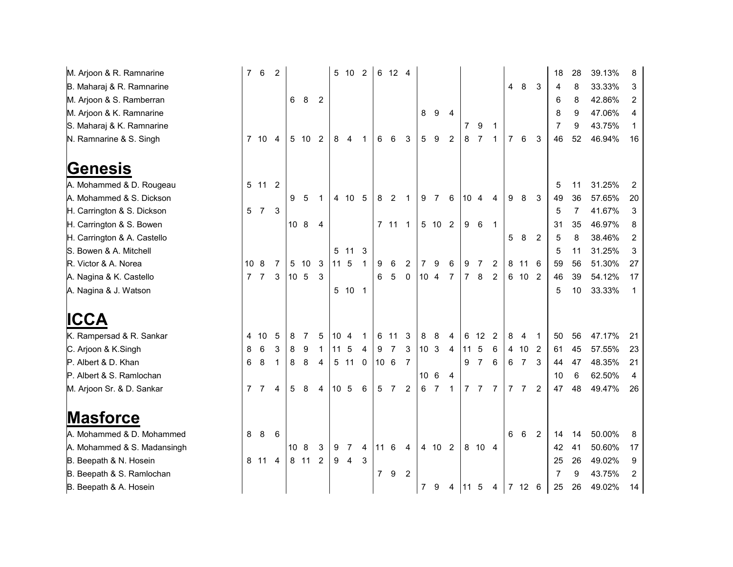M. Arjoon & R. RamnarineB. Maharaj & R. RamnarineM. Arjoon & S. RamberranM. Arjoon & K. RamnarineS. Maharaj & K. RamnarineN. Ramnarine & S. Singh

**Genesis**

 A. Mohammed & D. RougeauA. Mohammed & S. DicksonH. Carrington & S. DicksonH. Carrington & S. Bowen H. Carrington & A. CastelloS. Bowen & A. MitchellR. Victor & A. NoreaA. Nagina & K. CastelloA. Nagina & J. Watson

**ICCA**

 K. Rampersad & R. SankarC. Arjoon & K.SinghP. Albert & D. Khan P. Albert & S. RamlochanM. Arjoon Sr. & D. Sankar

## **Masforce**

 A. Mohammed & D. MohammedA. Mohammed & S. MadansinghB. Beepath & N. HoseinB. Beepath & S. RamlochanB. Beepath & A. Hosein

| nnarine      | $\overline{7}$ | 6              | $\overline{2}$ |                 |      |                | 5               | 10             | $\overline{2}$ |                 | 6 12 4         |                |                 |        |                |                |                |                |   |                |                | 18             | 28 | 39.13% | 8              |
|--------------|----------------|----------------|----------------|-----------------|------|----------------|-----------------|----------------|----------------|-----------------|----------------|----------------|-----------------|--------|----------------|----------------|----------------|----------------|---|----------------|----------------|----------------|----|--------|----------------|
| amnarine     |                |                |                |                 |      |                |                 |                |                |                 |                |                |                 |        |                |                |                |                | 4 | 8              | 3              | 4              | 8  | 33.33% | 3              |
| nberran      |                |                |                | 6               | 8    | 2              |                 |                |                |                 |                |                |                 |        |                |                |                |                |   |                |                | 6              | 8  | 42.86% | $\overline{c}$ |
| nnarine      |                |                |                |                 |      |                |                 |                |                |                 |                |                | 8               | 9      | 4              |                |                |                |   |                |                | 8              | 9  | 47.06% | 4              |
| amnarine     |                |                |                |                 |      |                |                 |                |                |                 |                |                |                 |        |                | 7              | 9              | 1              |   |                |                | 7              | 9  | 43.75% | 1              |
| Singh        |                | 7 10           | 4              | 5               | 10   | $\overline{2}$ | 8               | 4              | $\mathbf 1$    | 6               | 6              | 3              | $5\phantom{.0}$ | 9      | $\overline{2}$ | 8              | 7              | 1              | 7 | $\,6\,$        | 3              | 46             | 52 | 46.94% | 16             |
|              |                |                |                |                 |      |                |                 |                |                |                 |                |                |                 |        |                |                |                |                |   |                |                |                |    |        |                |
|              |                |                |                |                 |      |                |                 |                |                |                 |                |                |                 |        |                |                |                |                |   |                |                |                |    |        |                |
| . Rougeau    |                | 5 11           | $\overline{2}$ |                 |      |                |                 |                |                |                 |                |                |                 |        |                |                |                |                |   |                |                | 5              | 11 | 31.25% | 2              |
| . Dickson    |                |                |                | 9               | 5    | 1              |                 | 4 10           | 5              | 8               | $\overline{2}$ | $\mathbf 1$    | 9               | -7     | 6              | 10             | 4              | 4              | 9 | 8              | 3              | 49             | 36 | 57.65% | 20             |
| Dickson      | 5              | $\overline{7}$ | $\mathbf{3}$   |                 |      |                |                 |                |                |                 |                |                |                 |        |                |                |                |                |   |                |                | 5              | 7  | 41.67% | 3              |
| Bowen        |                |                |                | 10 <sub>8</sub> |      | 4              |                 |                |                |                 | $7 11 1$       |                |                 | 5 10 2 |                | 9              | 6              | $\mathbf 1$    |   |                |                | 31             | 35 | 46.97% | 8              |
| Castello     |                |                |                |                 |      |                |                 |                |                |                 |                |                |                 |        |                |                |                |                | 5 | 8              | $\overline{2}$ | 5              | 8  | 38.46% | $\overline{c}$ |
| hell:        |                |                |                |                 |      |                | 5               | 11             | 3              |                 |                |                |                 |        |                |                |                |                |   |                |                | 5              | 11 | 31.25% | 3              |
| а            | 10             | 8              | 7              | 5               | 10   | 3              | 11              | $\overline{5}$ | 1              | 9               | 6              | 2              | 7               | 9      | 6              | 9              | 7              | 2              | 8 | 11             | 6              | 59             | 56 | 51.30% | 27             |
| stello       | $\overline{7}$ | $\overline{7}$ | $\mathbf{3}$   | 10 <sub>5</sub> |      | 3              |                 |                |                | 6               | 5              | $\mathbf 0$    | 10 <sub>4</sub> |        | 7              | $\overline{7}$ | 8              | $\overline{2}$ | 6 | 10             | $\overline{2}$ | 46             | 39 | 54.12% | 17             |
| :son         |                |                |                |                 |      |                | 5               | 10             | $\overline{1}$ |                 |                |                |                 |        |                |                |                |                |   |                |                | 5              | 10 | 33.33% | $\mathbf 1$    |
|              |                |                |                |                 |      |                |                 |                |                |                 |                |                |                 |        |                |                |                |                |   |                |                |                |    |        |                |
|              |                |                |                |                 |      |                |                 |                |                |                 |                |                |                 |        |                |                |                |                |   |                |                |                |    |        |                |
| Sankar       | 4              | 10             | 5              | 8               | 7    | 5              | 10              | $\overline{4}$ | 1              | 6               | 11             | 3              | 8               | 8      | 4              | 6              | 12             | $\overline{2}$ | 8 | $\overline{4}$ | 1              | 50             | 56 | 47.17% | 21             |
| h            | 8              | 6              | 3              | 8               | 9    | 1              | 11              | 5              | 4              | 9               | 7              | 3              | 10 <sub>3</sub> |        | $\overline{4}$ | 11             | 5              | 6              | 4 | 10             | $\overline{2}$ | 61             | 45 | 57.55% | 23             |
|              | 6              | 8              | 1              | 8               | 8    | 4              | 5               | 11             | 0              | 10 <sub>6</sub> |                | 7              |                 |        |                | 9              | $\overline{7}$ | 6              | 6 | $\overline{7}$ | 3              | 44             | 47 | 48.35% | 21             |
| lochan       |                |                |                |                 |      |                |                 |                |                |                 |                |                | 10              | 6      | 4              |                |                |                |   |                |                | 10             | 6  | 62.50% | 4              |
| Sankar       | 7              | 7              | 4              | 5               | 8    | 4              | 10 <sup>1</sup> | $\overline{5}$ | 6              | $\sqrt{5}$      | 7              | $\overline{2}$ | 6               | 7      | 1              | $\overline{7}$ | 7              | 7              | 7 | $\overline{7}$ | $\overline{2}$ | 47             | 48 | 49.47% | 26             |
|              |                |                |                |                 |      |                |                 |                |                |                 |                |                |                 |        |                |                |                |                |   |                |                |                |    |        |                |
|              |                |                |                |                 |      |                |                 |                |                |                 |                |                |                 |        |                |                |                |                |   |                |                |                |    |        |                |
| . Mohammed   | 8              | 8              | 6              |                 |      |                |                 |                |                |                 |                |                |                 |        |                |                |                |                | 6 | 6              | $\overline{2}$ | 14             | 14 | 50.00% | 8              |
| . Madansingh |                |                |                | 10              | 8    | 3              | 9               | 7              | 4              | 11              | 6              | 4              |                 | 4 10   | $\overline{2}$ |                | 8 10 4         |                |   |                |                | 42             | 41 | 50.60% | 17             |
| osein        |                | 8 11           | $\overline{4}$ |                 | 8 11 | $\overline{2}$ | 9               | $\overline{4}$ | 3              |                 |                |                |                 |        |                |                |                |                |   |                |                | 25             | 26 | 49.02% | 9              |
| amlochan     |                |                |                |                 |      |                |                 |                |                | $\overline{7}$  | 9              | $\overline{2}$ |                 |        |                |                |                |                |   |                |                | $\overline{7}$ | 9  | 43.75% | 2              |
| osein        |                |                |                |                 |      |                |                 |                |                |                 |                |                | $\overline{7}$  | - 9    | 4              | 11 5           |                | 4              |   | 7 12           | 6              | 25             | 26 | 49.02% | 14             |
|              |                |                |                |                 |      |                |                 |                |                |                 |                |                |                 |        |                |                |                |                |   |                |                |                |    |        |                |